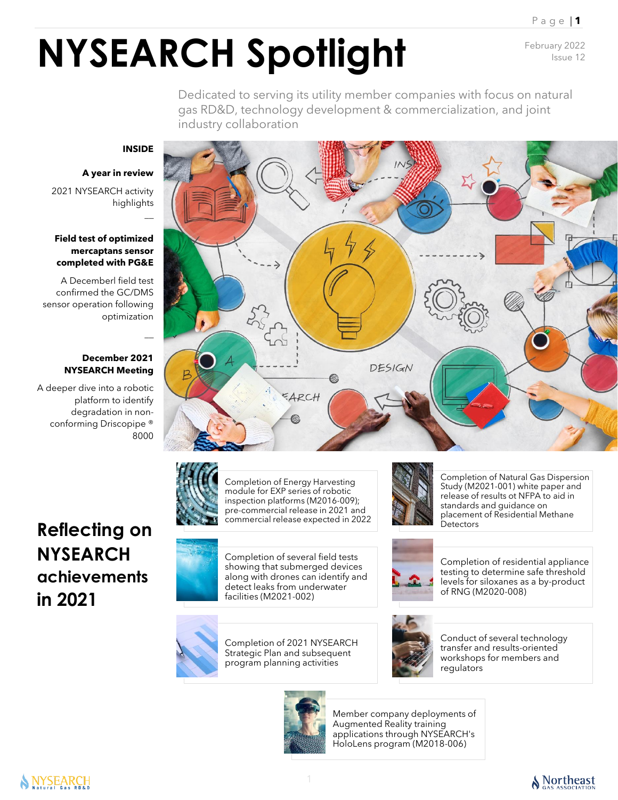# **NYSEARCH Spotlight** February 2022

Issue 12

Dedicated to serving its utility member companies with focus on natural gas RD&D, technology development & commercialization, and joint industry collaboration

### **INSIDE**

 $\overline{a}$ 

 $\overline{a}$ 

#### **A year in review**

2021 NYSEARCH activity highlights

#### **Field test of optimized mercaptans sensor completed with PG&E**

A Decemberl field test confirmed the GC/DMS sensor operation following optimization

#### **December 2021 NYSEARCH Meeting**

A deeper dive into a robotic platform to identify degradation in nonconforming Driscopipe ® 8000

## **Reflecting on NYSEARCH achievements in 2021**





Completion of Energy Harvesting module for EXP series of robotic inspection platforms (M2016-009); pre-commercial release in 2021 and commercial release expected in 2022



Completion of Natural Gas Dispersion Study (M2021-001) white paper and release of results ot NFPA to aid in standards and guidance on placement of Residential Methane **Detectors** 



Completion of residential appliance testing to determine safe threshold levels for siloxanes as a by-product of RNG (M2020-008)



Completion of several field tests showing that submerged devices along with drones can identify and detect leaks from underwater facilities (M2021-002)



Conduct of several technology transfer and results-oriented workshops for members and regulators



Member company deployments of Augmented Reality training applications through NYSEARCH's HoloLens program (M2018-006)

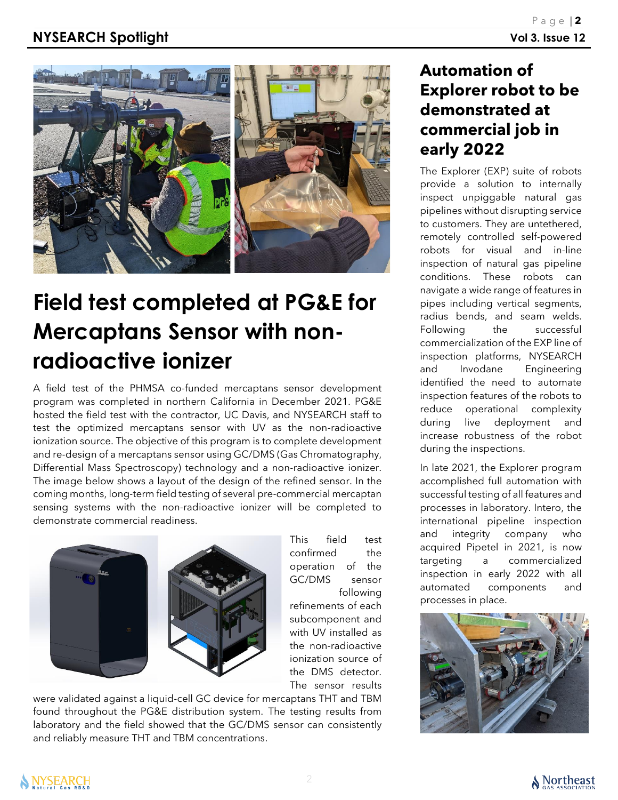

## **Field test completed at PG&E for Mercaptans Sensor with nonradioactive ionizer**

A field test of the PHMSA co-funded mercaptans sensor development program was completed in northern California in December 2021. PG&E hosted the field test with the contractor, UC Davis, and NYSEARCH staff to test the optimized mercaptans sensor with UV as the non-radioactive ionization source. The objective of this program is to complete development and re-design of a mercaptans sensor using GC/DMS (Gas Chromatography, Differential Mass Spectroscopy) technology and a non-radioactive ionizer. The image below shows a layout of the design of the refined sensor. In the coming months, long-term field testing of several pre-commercial mercaptan sensing systems with the non-radioactive ionizer will be completed to demonstrate commercial readiness.



This field test confirmed the operation of the GC/DMS sensor following

refinements of each subcomponent and with UV installed as the non-radioactive ionization source of the DMS detector. The sensor results

were validated against a liquid-cell GC device for mercaptans THT and TBM found throughout the PG&E distribution system. The testing results from laboratory and the field showed that the GC/DMS sensor can consistently and reliably measure THT and TBM concentrations.

## **Automation of Explorer robot to be demonstrated at commercial job in early 2022**

The Explorer (EXP) suite of robots provide a solution to internally inspect unpiggable natural gas pipelines without disrupting service to customers. They are untethered, remotely controlled self-powered robots for visual and in-line inspection of natural gas pipeline conditions. These robots can navigate a wide range of features in pipes including vertical segments, radius bends, and seam welds. Following the successful commercialization of the EXP line of inspection platforms, NYSEARCH and Invodane Engineering identified the need to automate inspection features of the robots to reduce operational complexity during live deployment and increase robustness of the robot during the inspections.

In late 2021, the Explorer program accomplished full automation with successful testing of all features and processes in laboratory. Intero, the international pipeline inspection and integrity company who acquired Pipetel in 2021, is now targeting a commercialized inspection in early 2022 with all automated components and processes in place.